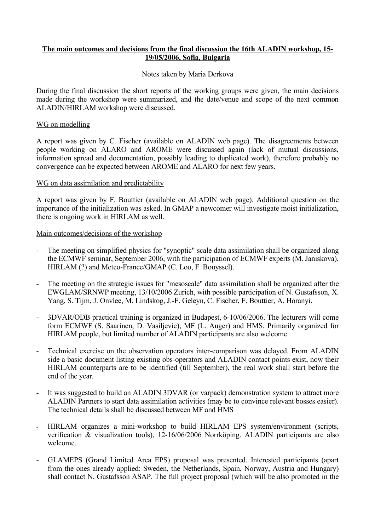# **The main outcomes and decisions from the final discussion the 16th ALADIN workshop, 15- 19/05/2006, Sofia, Bulgaria**

## Notes taken by Maria Derkova

During the final discussion the short reports of the working groups were given, the main decisions made during the workshop were summarized, and the date/venue and scope of the next common ALADIN/HIRLAM workshop were discussed.

#### WG on modelling

A report was given by C. Fischer (available on ALADIN web page). The disagreements between people working on ALARO and AROME were discussed again (lack of mutual discussions, information spread and documentation, possibly leading to duplicated work), therefore probably no convergence can be expected between AROME and ALARO for next few years.

## WG on data assimilation and predictability

A report was given by F. Bouttier (available on ALADIN web page). Additional question on the importance of the initialization was asked. In GMAP a newcomer will investigate moist initialization, there is ongoing work in HIRLAM as well.

#### Main outcomes/decisions of the workshop

- The meeting on simplified physics for "synoptic" scale data assimilation shall be organized along the ECMWF seminar, September 2006, with the participation of ECMWF experts (M. Janiskova), HIRLAM (?) and Meteo-France/GMAP (C. Loo, F. Bouyssel).
- The meeting on the strategic issues for "mesoscale" data assimilation shall be organized after the EWGLAM/SRNWP meeting, 13/10/2006 Zurich, with possible participation of N. Gustafsson, X. Yang, S. Tijm, J. Onvlee, M. Lindskog, J.-F. Geleyn, C. Fischer, F. Bouttier, A. Horanyi.
- 3DVAR/ODB practical training is organized in Budapest, 6-10/06/2006. The lecturers will come form ECMWF (S. Saarinen, D. Vasiljevic), MF (L. Auger) and HMS. Primarily organized for HIRLAM people, but limited number of ALADIN participants are also welcome.
- Technical exercise on the observation operators inter-comparison was delayed. From ALADIN side a basic document listing existing obs-operators and ALADIN contact points exist, now their HIRLAM counterparts are to be identified (till September), the real work shall start before the end of the year.
- It was suggested to build an ALADIN 3DVAR (or varpack) demonstration system to attract more ALADIN Partners to start data assimilation activities (may be to convince relevant bosses easier). The technical details shall be discussed between MF and HMS
- HIRLAM organizes a mini-workshop to build HIRLAM EPS system/environment (scripts, verification & visualization tools), 12-16/06/2006 Norrköping. ALADIN participants are also welcome.
- GLAMEPS (Grand Limited Area EPS) proposal was presented. Interested participants (apart from the ones already applied: Sweden, the Netherlands, Spain, Norway, Austria and Hungary) shall contact N. Gustafsson ASAP. The full project proposal (which will be also promoted in the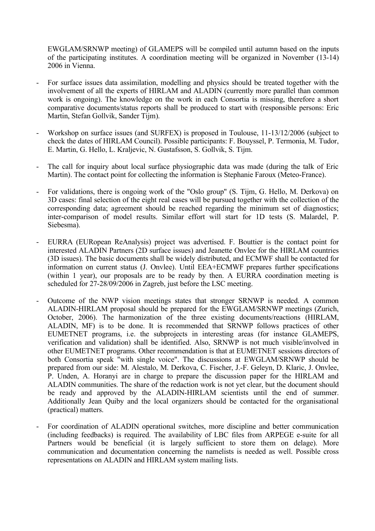EWGLAM/SRNWP meeting) of GLAMEPS will be compiled until autumn based on the inputs of the participating institutes. A coordination meeting will be organized in November (13-14) 2006 in Vienna.

- For surface issues data assimilation, modelling and physics should be treated together with the involvement of all the experts of HIRLAM and ALADIN (currently more parallel than common work is ongoing). The knowledge on the work in each Consortia is missing, therefore a short comparative documents/status reports shall be produced to start with (responsible persons: Eric Martin, Stefan Gollvik, Sander Tijm).
- Workshop on surface issues (and SURFEX) is proposed in Toulouse, 11-13/12/2006 (subject to check the dates of HIRLAM Council). Possible participants: F. Bouyssel, P. Termonia, M. Tudor, E. Martin, G. Hello, L. Kraljevic, N. Gustafsson, S. Gollvik, S. Tijm.
- The call for inquiry about local surface physiographic data was made (during the talk of Eric Martin). The contact point for collecting the information is Stephanie Faroux (Meteo-France).
- For validations, there is ongoing work of the "Oslo group" (S. Tijm, G. Hello, M. Derkova) on 3D cases: final selection of the eight real cases will be pursued together with the collection of the corresponding data; agreement should be reached regarding the minimum set of diagnostics; inter-comparison of model results. Similar effort will start for 1D tests (S. Malardel, P. Siebesma).
- EURRA (EURopean ReAnalysis) project was advertised. F. Bouttier is the contact point for interested ALADIN Partners (2D surface issues) and Jeanette Onvlee for the HIRLAM countries (3D issues). The basic documents shall be widely distributed, and ECMWF shall be contacted for information on current status (J. Onvlee). Until EEA+ECMWF prepares further specifications (within 1 year), our proposals are to be ready by then. A EURRA coordination meeting is scheduled for 27-28/09/2006 in Zagreb, just before the LSC meeting.
- Outcome of the NWP vision meetings states that stronger SRNWP is needed. A common ALADIN-HIRLAM proposal should be prepared for the EWGLAM/SRNWP meetings (Zurich, October, 2006). The harmonization of the three existing documents/reactions (HIRLAM, ALADIN, MF) is to be done. It is recommended that SRNWP follows practices of other EUMETNET programs, i.e. the subprojects in interesting areas (for instance GLAMEPS, verification and validation) shall be identified. Also, SRNWP is not much visible/involved in other EUMETNET programs. Other recommendation is that at EUMETNET sessions directors of both Consortia speak "with single voice". The discussions at EWGLAM/SRNWP should be prepared from our side: M. Alestalo, M. Derkova, C. Fischer, J.-F. Geleyn, D. Klaric, J. Onvlee, P. Unden, A. Horanyi are in charge to prepare the discussion paper for the HIRLAM and ALADIN communities. The share of the redaction work is not yet clear, but the document should be ready and approved by the ALADIN-HIRLAM scientists until the end of summer. Additionally Jean Quiby and the local organizers should be contacted for the organisational (practical) matters.
- For coordination of ALADIN operational switches, more discipline and better communication (including feedbacks) is required. The availability of LBC files from ARPEGE e-suite for all Partners would be beneficial (it is largely sufficient to store them on delage). More communication and documentation concerning the namelists is needed as well. Possible cross representations on ALADIN and HIRLAM system mailing lists.